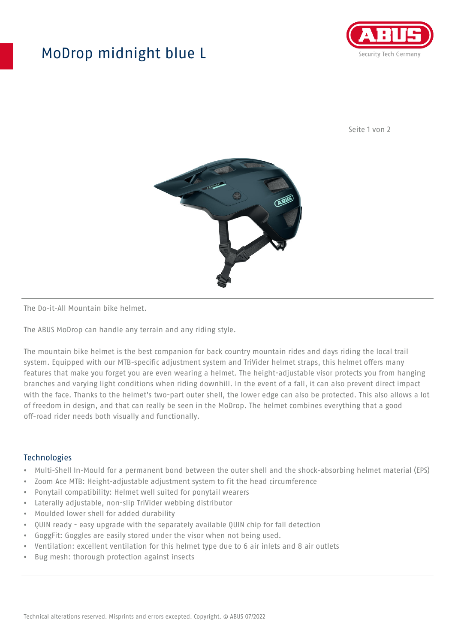## MoDrop midnight blue L



Seite 1 von 2



The Do-it-All Mountain bike helmet.

The ABUS MoDrop can handle any terrain and any riding style.

The mountain bike helmet is the best companion for back country mountain rides and days riding the local trail system. Equipped with our MTB-specific adjustment system and TriVider helmet straps, this helmet offers many features that make you forget you are even wearing a helmet. The height-adjustable visor protects you from hanging branches and varying light conditions when riding downhill. In the event of a fall, it can also prevent direct impact with the face. Thanks to the helmet's two-part outer shell, the lower edge can also be protected. This also allows a lot of freedom in design, and that can really be seen in the MoDrop. The helmet combines everything that a good off-road rider needs both visually and functionally.

## Technologies

- Multi-Shell In-Mould for a permanent bond between the outer shell and the shock-absorbing helmet material (EPS)
- Zoom Ace MTB: Height-adjustable adjustment system to fit the head circumference
- Ponytail compatibility: Helmet well suited for ponytail wearers
- Laterally adjustable, non-slip TriVider webbing distributor
- Moulded lower shell for added durability
- QUIN ready easy upgrade with the separately available QUIN chip for fall detection
- GoggFit: Goggles are easily stored under the visor when not being used.
- Ventilation: excellent ventilation for this helmet type due to 6 air inlets and 8 air outlets
- Bug mesh: thorough protection against insects